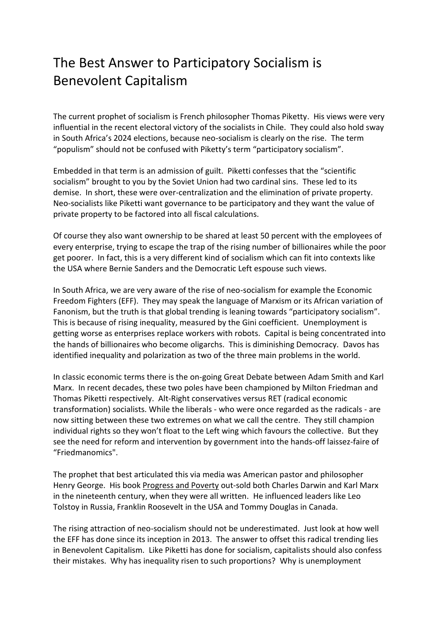## The Best Answer to Participatory Socialism is Benevolent Capitalism

The current prophet of socialism is French philosopher Thomas Piketty. His views were very influential in the recent electoral victory of the socialists in Chile. They could also hold sway in South Africa's 2024 elections, because neo-socialism is clearly on the rise. The term "populism" should not be confused with Piketty's term "participatory socialism".

Embedded in that term is an admission of guilt. Piketti confesses that the "scientific socialism" brought to you by the Soviet Union had two cardinal sins. These led to its demise. In short, these were over-centralization and the elimination of private property. Neo-socialists like Piketti want governance to be participatory and they want the value of private property to be factored into all fiscal calculations.

Of course they also want ownership to be shared at least 50 percent with the employees of every enterprise, trying to escape the trap of the rising number of billionaires while the poor get poorer. In fact, this is a very different kind of socialism which can fit into contexts like the USA where Bernie Sanders and the Democratic Left espouse such views.

In South Africa, we are very aware of the rise of neo-socialism for example the Economic Freedom Fighters (EFF). They may speak the language of Marxism or its African variation of Fanonism, but the truth is that global trending is leaning towards "participatory socialism". This is because of rising inequality, measured by the Gini coefficient. Unemployment is getting worse as enterprises replace workers with robots. Capital is being concentrated into the hands of billionaires who become oligarchs. This is diminishing Democracy. Davos has identified inequality and polarization as two of the three main problems in the world.

In classic economic terms there is the on-going Great Debate between Adam Smith and Karl Marx. In recent decades, these two poles have been championed by Milton Friedman and Thomas Piketti respectively. Alt-Right conservatives versus RET (radical economic transformation) socialists. While the liberals - who were once regarded as the radicals - are now sitting between these two extremes on what we call the centre. They still champion individual rights so they won't float to the Left wing which favours the collective. But they see the need for reform and intervention by government into the hands-off laissez-faire of "Friedmanomics".

The prophet that best articulated this via media was American pastor and philosopher Henry George. His book Progress and Poverty out-sold both Charles Darwin and Karl Marx in the nineteenth century, when they were all written. He influenced leaders like Leo Tolstoy in Russia, Franklin Roosevelt in the USA and Tommy Douglas in Canada.

The rising attraction of neo-socialism should not be underestimated. Just look at how well the EFF has done since its inception in 2013. The answer to offset this radical trending lies in Benevolent Capitalism. Like Piketti has done for socialism, capitalists should also confess their mistakes. Why has inequality risen to such proportions? Why is unemployment